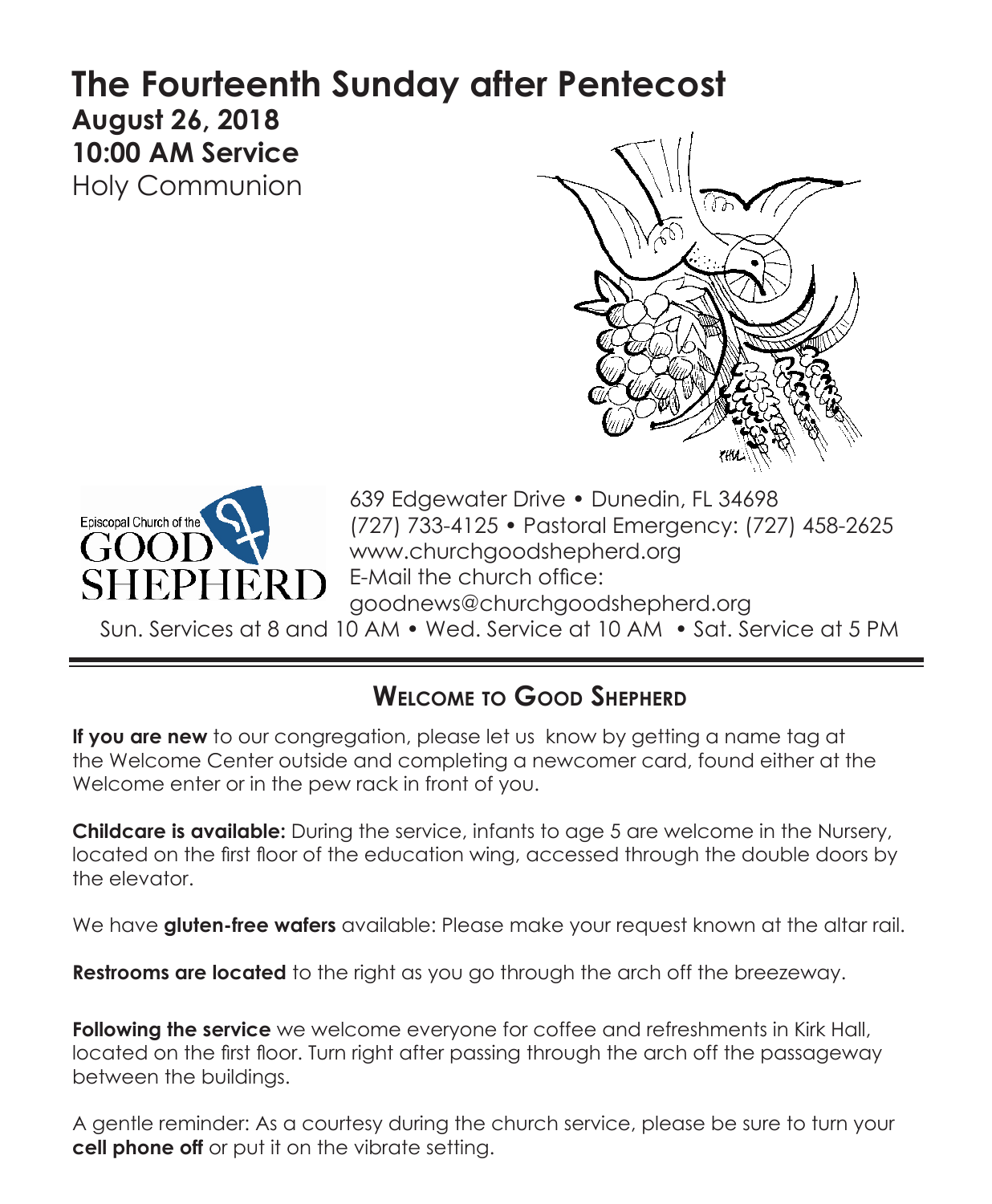# **The Fourteenth Sunday after Pentecost August 26, 2018 10:00 AM Service**  Holy Communion





639 Edgewater Drive • Dunedin, FL 34698 (727) 733-4125 • Pastoral Emergency: (727) 458-2625 www.churchgoodshepherd.org E-Mail the church office:

goodnews@churchgoodshepherd.org

Sun. Services at 8 and 10 AM • Wed. Service at 10 AM • Sat. Service at 5 PM

# **Welcome to Good Shepherd**

**If you are new** to our congregation, please let us know by getting a name tag at the Welcome Center outside and completing a newcomer card, found either at the Welcome enter or in the pew rack in front of you.

**Childcare is available:** During the service, infants to age 5 are welcome in the Nursery, located on the first floor of the education wing, accessed through the double doors by the elevator.

We have **gluten-free wafers** available: Please make your request known at the altar rail.

**Restrooms are located** to the right as you go through the arch off the breezeway.

**Following the service** we welcome everyone for coffee and refreshments in Kirk Hall, located on the first floor. Turn right after passing through the arch off the passageway between the buildings.

A gentle reminder: As a courtesy during the church service, please be sure to turn your **cell phone off** or put it on the vibrate setting.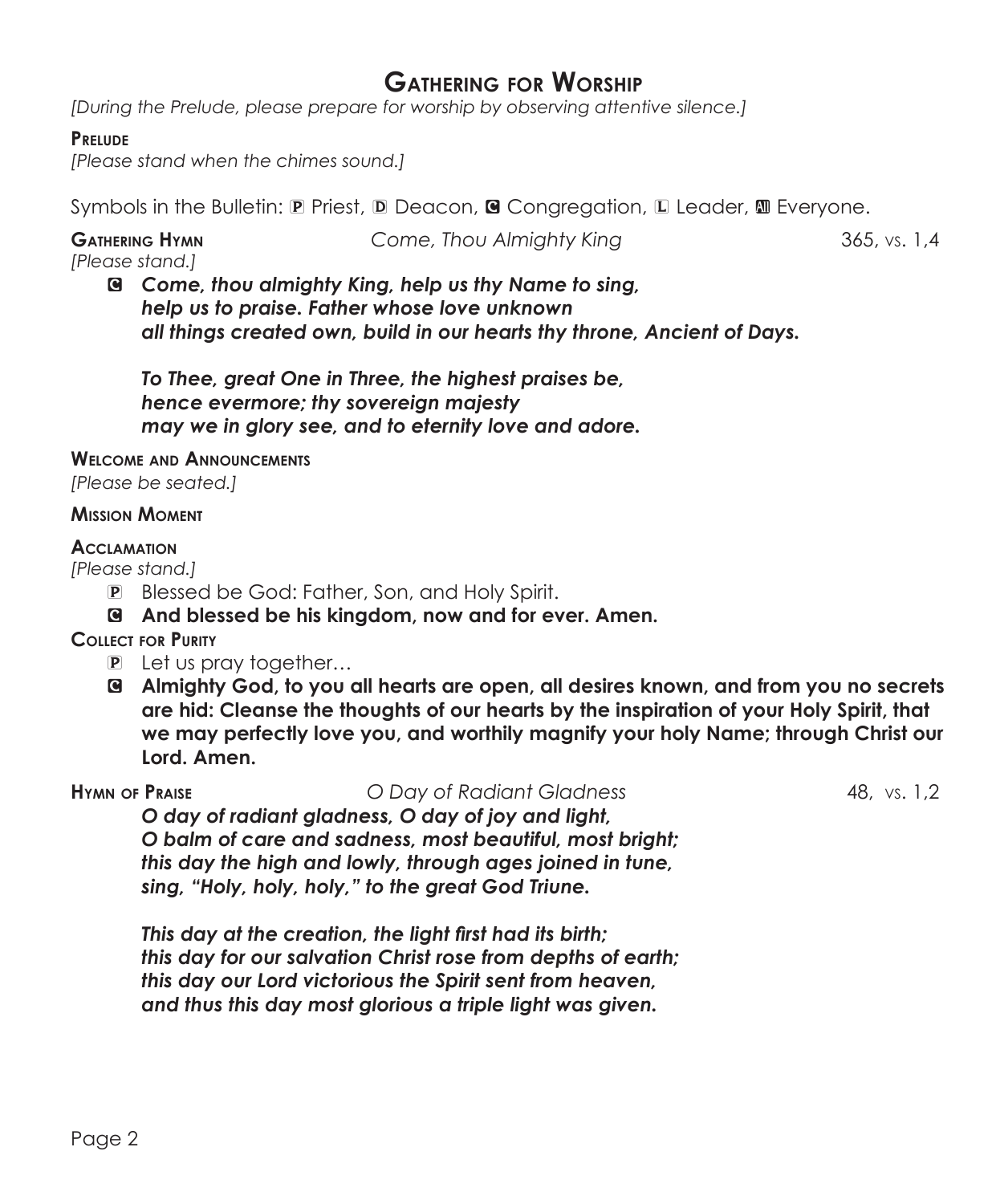# **Gathering for Worship**

*[During the Prelude, please prepare for worship by observing attentive silence.]*

#### **Prelude**

*[Please stand when the chimes sound.]*

Symbols in the Bulletin:  $\mathbb D$  Priest,  $\mathbb D$  Deacon,  $\mathbb Q$  Congregation,  $\mathbb D$  Leader,  $\mathbb Q$  Everyone.

**Gathering Hymn** *Come, Thou Almighty King* 365, vs. 1,4

*[Please stand.]*

C *Come, thou almighty King, help us thy Name to sing, help us to praise. Father whose love unknown all things created own, build in our hearts thy throne, Ancient of Days.*

*To Thee, great One in Three, the highest praises be, hence evermore; thy sovereign majesty may we in glory see, and to eternity love and adore.*

## **Welcome and Announcements**

*[Please be seated.]*

#### **Mission Moment**

#### **Acclamation**

*[Please stand.]*

- P Blessed be God: Father, Son, and Holy Spirit.
- C **And blessed be his kingdom, now and for ever. Amen.**

**Collect for Purity**

- P Let us pray together…
- C **Almighty God, to you all hearts are open, all desires known, and from you no secrets are hid: Cleanse the thoughts of our hearts by the inspiration of your Holy Spirit, that we may perfectly love you, and worthily magnify your holy Name; through Christ our Lord. Amen.**

**Hymn of Praise** *O Day of Radiant Gladness* 48, vs. 1,2

*O day of radiant gladness, O day of joy and light, O balm of care and sadness, most beautiful, most bright; this day the high and lowly, through ages joined in tune, sing, "Holy, holy, holy," to the great God Triune.*

*This day at the creation, the light first had its birth; this day for our salvation Christ rose from depths of earth; this day our Lord victorious the Spirit sent from heaven, and thus this day most glorious a triple light was given.*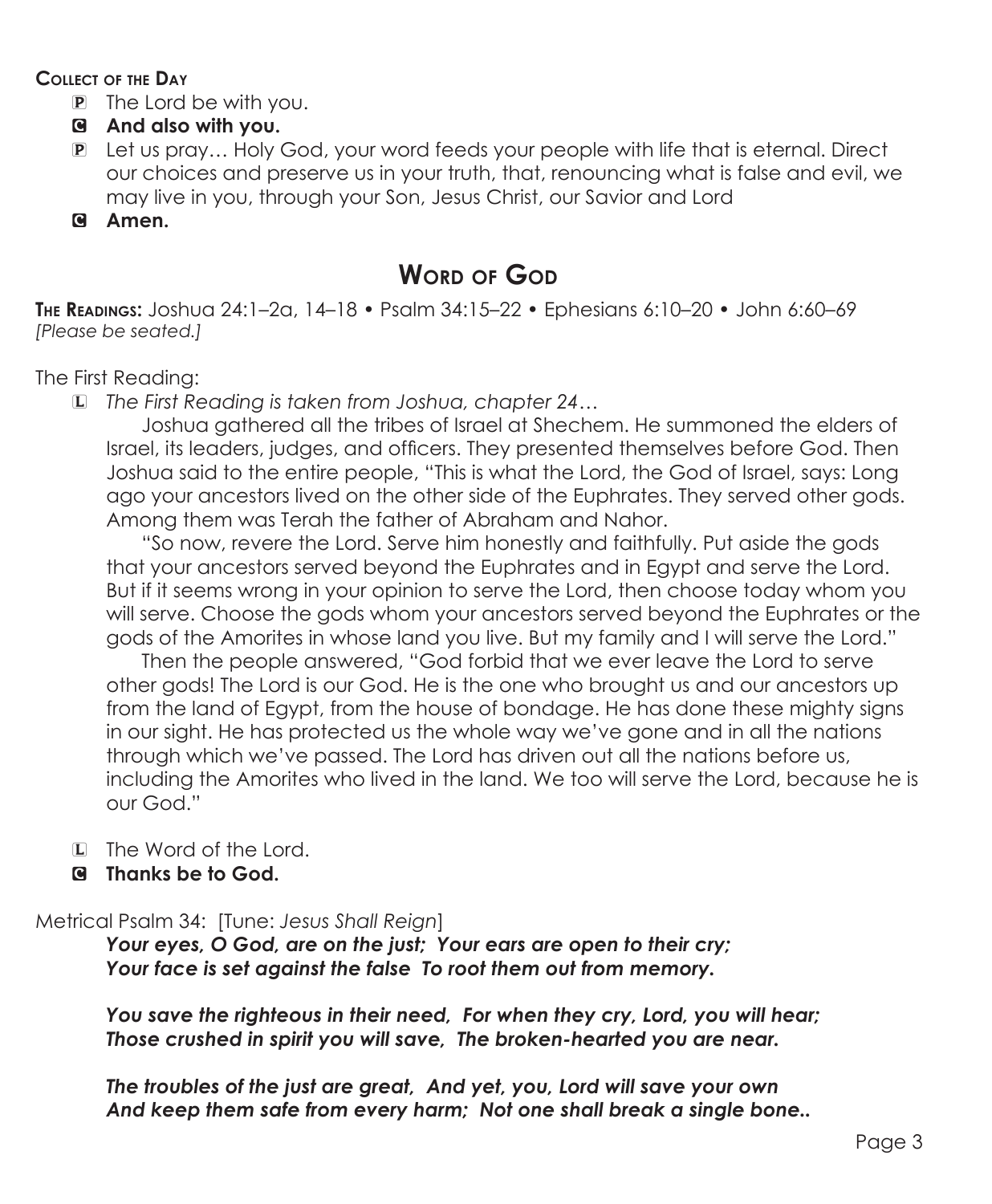## **Collect of the Day**

- P The Lord be with you.
- C **And also with you.**
- P Let us pray… Holy God, your word feeds your people with life that is eternal. Direct our choices and preserve us in your truth, that, renouncing what is false and evil, we may live in you, through your Son, Jesus Christ, our Savior and Lord
- C **Amen.**

# **Word of God**

**The Readings:** Joshua 24:1–2a, 14–18 • Psalm 34:15–22 • Ephesians 6:10–20 • John 6:60–69 *[Please be seated.]*

The First Reading:

L *The First Reading is taken from Joshua, chapter 24…*

 Joshua gathered all the tribes of Israel at Shechem. He summoned the elders of Israel, its leaders, judges, and officers. They presented themselves before God. Then Joshua said to the entire people, "This is what the Lord, the God of Israel, says: Long ago your ancestors lived on the other side of the Euphrates. They served other gods. Among them was Terah the father of Abraham and Nahor.

 "So now, revere the Lord. Serve him honestly and faithfully. Put aside the gods that your ancestors served beyond the Euphrates and in Egypt and serve the Lord. But if it seems wrong in your opinion to serve the Lord, then choose today whom you will serve. Choose the gods whom your ancestors served beyond the Euphrates or the gods of the Amorites in whose land you live. But my family and I will serve the Lord."

Then the people answered, "God forbid that we ever leave the Lord to serve other gods! The Lord is our God. He is the one who brought us and our ancestors up from the land of Egypt, from the house of bondage. He has done these mighty signs in our sight. He has protected us the whole way we've gone and in all the nations through which we've passed. The Lord has driven out all the nations before us, including the Amorites who lived in the land. We too will serve the Lord, because he is our God."

- L The Word of the Lord.
- C **Thanks be to God.**

Metrical Psalm 34: [Tune: *Jesus Shall Reign*]

*Your eyes, O God, are on the just; Your ears are open to their cry; Your face is set against the false To root them out from memory.*

*You save the righteous in their need, For when they cry, Lord, you will hear; Those crushed in spirit you will save, The broken-hearted you are near.*

*The troubles of the just are great, And yet, you, Lord will save your own And keep them safe from every harm; Not one shall break a single bone..*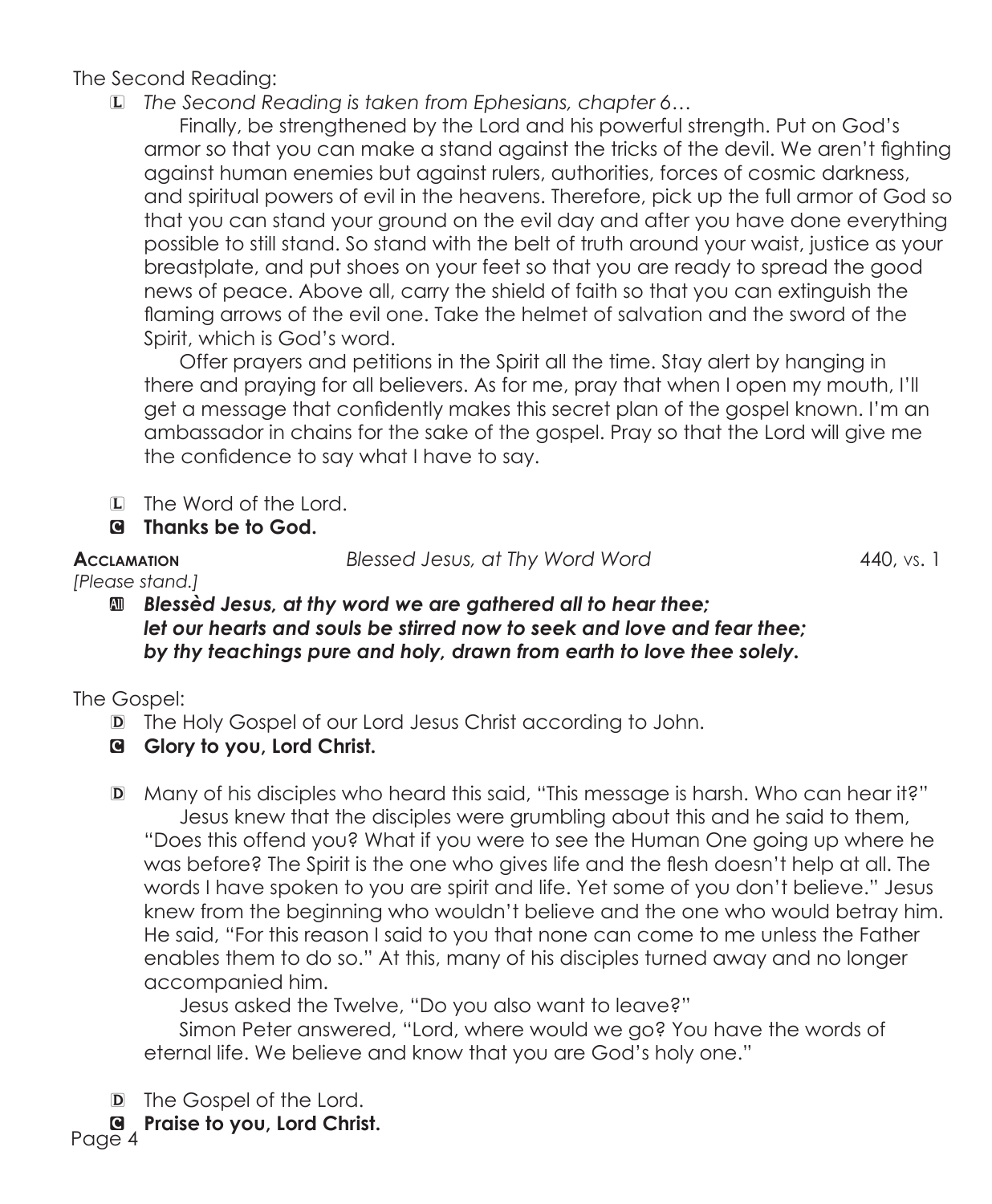The Second Reading:

L *The Second Reading is taken from Ephesians, chapter 6…*

 Finally, be strengthened by the Lord and his powerful strength. Put on God's armor so that you can make a stand against the tricks of the devil. We aren't fighting against human enemies but against rulers, authorities, forces of cosmic darkness, and spiritual powers of evil in the heavens. Therefore, pick up the full armor of God so that you can stand your ground on the evil day and after you have done everything possible to still stand. So stand with the belt of truth around your waist, justice as your breastplate, and put shoes on your feet so that you are ready to spread the good news of peace. Above all, carry the shield of faith so that you can extinguish the flaming arrows of the evil one. Take the helmet of salvation and the sword of the Spirit, which is God's word.

 Offer prayers and petitions in the Spirit all the time. Stay alert by hanging in there and praying for all believers. As for me, pray that when I open my mouth, I'll get a message that confidently makes this secret plan of the gospel known. I'm an ambassador in chains for the sake of the gospel. Pray so that the Lord will give me the confidence to say what I have to say.

- L The Word of the Lord.
- C **Thanks be to God.**

**Acclamation** *Blessed Jesus, at Thy Word Word* 440, vs. 1

*[Please stand.]*

 $\blacksquare$  Blessèd Jesus, at thy word we are gathered all to hear thee;  *let our hearts and souls be stirred now to seek and love and fear thee; by thy teachings pure and holy, drawn from earth to love thee solely.*

The Gospel:

- D The Holy Gospel of our Lord Jesus Christ according to John.
- C **Glory to you, Lord Christ.**
- D Many of his disciples who heard this said, "This message is harsh. Who can hear it?"

 Jesus knew that the disciples were grumbling about this and he said to them, "Does this offend you? What if you were to see the Human One going up where he was before? The Spirit is the one who gives life and the flesh doesn't help at all. The words I have spoken to you are spirit and life. Yet some of you don't believe." Jesus knew from the beginning who wouldn't believe and the one who would betray him. He said, "For this reason I said to you that none can come to me unless the Father enables them to do so." At this, many of his disciples turned away and no longer accompanied him.

Jesus asked the Twelve, "Do you also want to leave?"

Simon Peter answered, "Lord, where would we go? You have the words of eternal life. We believe and know that you are God's holy one."

- D The Gospel of the Lord.
- C **Praise to you, Lord Christ.**

Page 4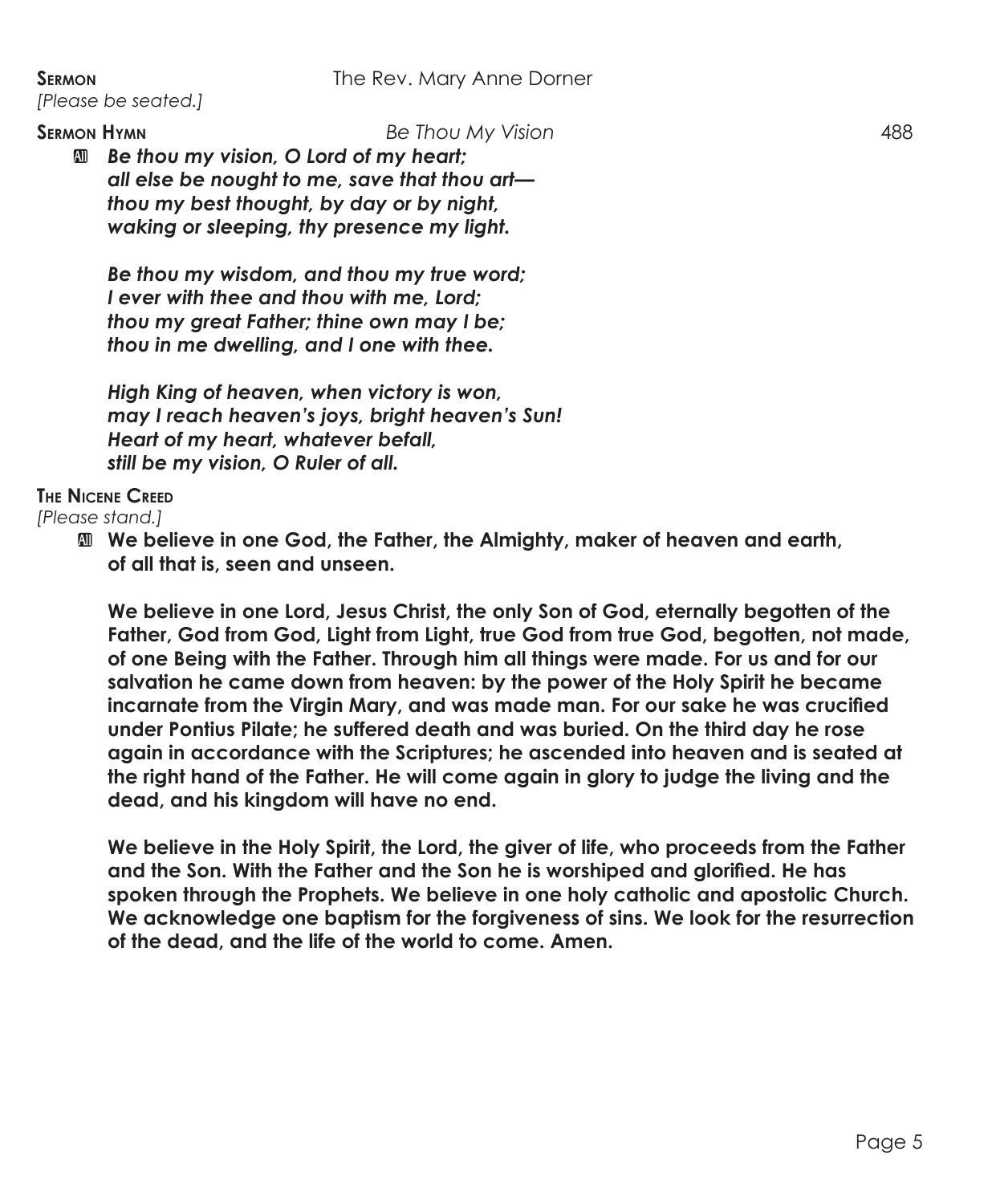*[Please be seated.]*

**Sermon Hymn** *Be Thou My Vision* 488

a *Be thou my vision, O Lord of my heart; all else be nought to me, save that thou art thou my best thought, by day or by night, waking or sleeping, thy presence my light.*

*Be thou my wisdom, and thou my true word; I ever with thee and thou with me, Lord; thou my great Father; thine own may I be; thou in me dwelling, and I one with thee.*

*High King of heaven, when victory is won, may I reach heaven's joys, bright heaven's Sun! Heart of my heart, whatever befall, still be my vision, O Ruler of all.*

#### **The Nicene Creed**

*[Please stand.]*

a **We believe in one God, the Father, the Almighty, maker of heaven and earth, of all that is, seen and unseen.**

 **We believe in one Lord, Jesus Christ, the only Son of God, eternally begotten of the Father, God from God, Light from Light, true God from true God, begotten, not made, of one Being with the Father. Through him all things were made. For us and for our salvation he came down from heaven: by the power of the Holy Spirit he became incarnate from the Virgin Mary, and was made man. For our sake he was crucified under Pontius Pilate; he suffered death and was buried. On the third day he rose again in accordance with the Scriptures; he ascended into heaven and is seated at the right hand of the Father. He will come again in glory to judge the living and the dead, and his kingdom will have no end.**

 **We believe in the Holy Spirit, the Lord, the giver of life, who proceeds from the Father and the Son. With the Father and the Son he is worshiped and glorified. He has spoken through the Prophets. We believe in one holy catholic and apostolic Church. We acknowledge one baptism for the forgiveness of sins. We look for the resurrection of the dead, and the life of the world to come. Amen.**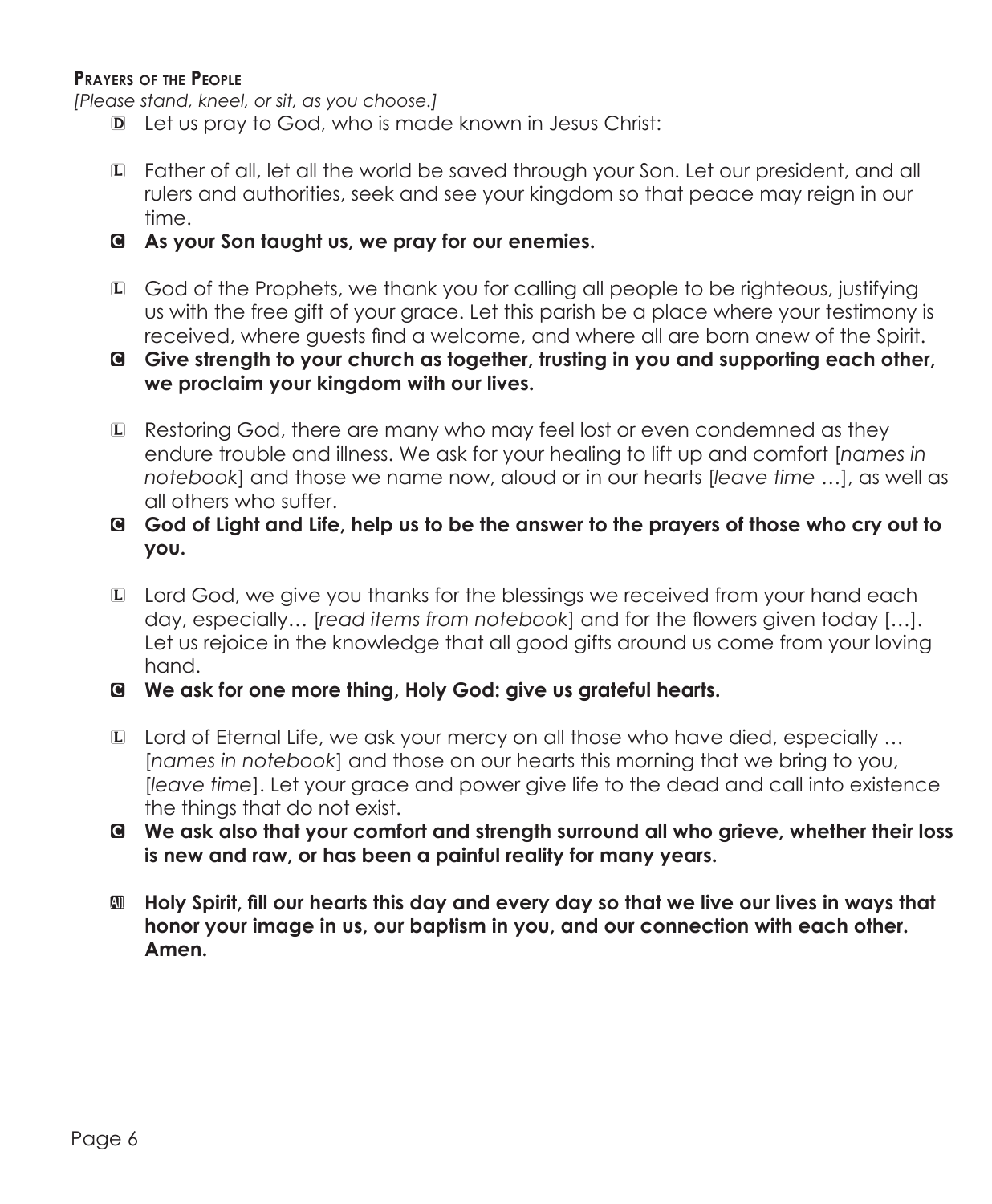### **Prayers of the People**

*[Please stand, kneel, or sit, as you choose.]*

- D Let us pray to God, who is made known in Jesus Christ:
- L Father of all, let all the world be saved through your Son. Let our president, and all rulers and authorities, seek and see your kingdom so that peace may reign in our time.
- C **As your Son taught us, we pray for our enemies.**
- L God of the Prophets, we thank you for calling all people to be righteous, justifying us with the free gift of your grace. Let this parish be a place where your testimony is received, where guests find a welcome, and where all are born anew of the Spirit.
- G Give strength to your church as together, trusting in you and supporting each other, **we proclaim your kingdom with our lives.**
- L Restoring God, there are many who may feel lost or even condemned as they endure trouble and illness. We ask for your healing to lift up and comfort [*names in notebook*] and those we name now, aloud or in our hearts [*leave time …*], as well as all others who suffer.
- C **God of Light and Life, help us to be the answer to the prayers of those who cry out to you.**
- L Lord God, we give you thanks for the blessings we received from your hand each day, especially… [*read items from notebook*] and for the flowers given today […]. Let us rejoice in the knowledge that all good gifts around us come from your loving hand.
- C **We ask for one more thing, Holy God: give us grateful hearts.**
- L Lord of Eternal Life, we ask your mercy on all those who have died, especially ... [*names in notebook*] and those on our hearts this morning that we bring to you, [*leave time*]. Let your grace and power give life to the dead and call into existence the things that do not exist.
- C **We ask also that your comfort and strength surround all who grieve, whether their loss is new and raw, or has been a painful reality for many years.**
- In Holy Spirit, fill our hearts this day and every day so that we live our lives in ways that **honor your image in us, our baptism in you, and our connection with each other. Amen.**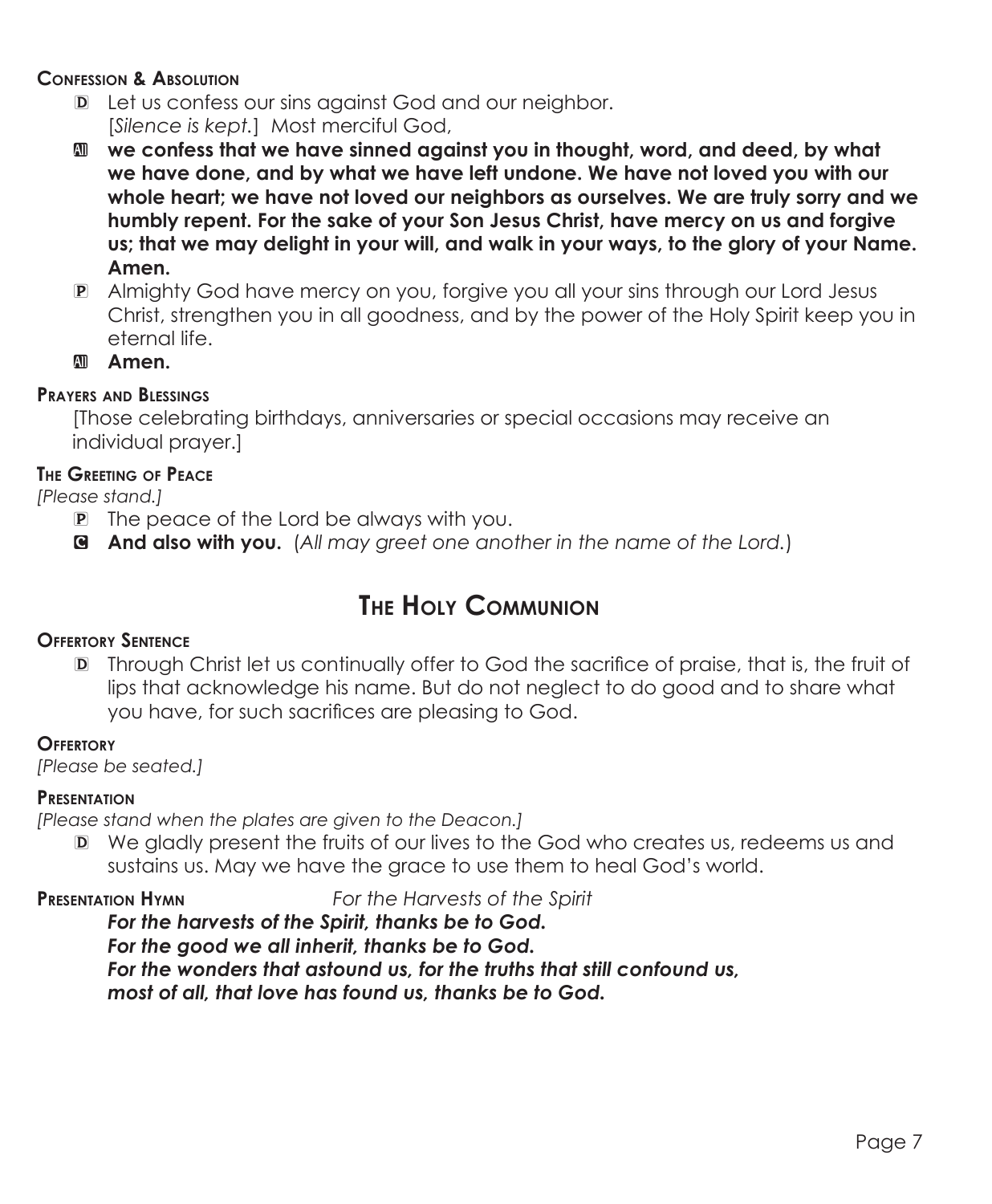#### **Confession & Absolution**

- D Let us confess our sins against God and our neighbor. [*Silence is kept.*] Most merciful God,
- $\text{W}$  we confess that we have sinned against you in thought, word, and deed, by what **we have done, and by what we have left undone. We have not loved you with our whole heart; we have not loved our neighbors as ourselves. We are truly sorry and we humbly repent. For the sake of your Son Jesus Christ, have mercy on us and forgive us; that we may delight in your will, and walk in your ways, to the glory of your Name. Amen.**
- P Almighty God have mercy on you, forgive you all your sins through our Lord Jesus Christ, strengthen you in all goodness, and by the power of the Holy Spirit keep you in eternal life.
- **M** Amen

# **Prayers and Blessings**

[Those celebrating birthdays, anniversaries or special occasions may receive an individual prayer.]

# **The Greeting of Peace**

*[Please stand.]*

- P The peace of the Lord be always with you.
- C **And also with you.** (*All may greet one another in the name of the Lord.*)

# **The Holy Communion**

# **Offertory Sentence**

D Through Christ let us continually offer to God the sacrifice of praise, that is, the fruit of lips that acknowledge his name. But do not neglect to do good and to share what you have, for such sacrifices are pleasing to God.

# **Offertory**

*[Please be seated.]*

# **Presentation**

*[Please stand when the plates are given to the Deacon.]*

D We gladly present the fruits of our lives to the God who creates us, redeems us and sustains us. May we have the grace to use them to heal God's world.

**Presentation Hymn** *For the Harvests of the Spirit*

*For the harvests of the Spirit, thanks be to God. For the good we all inherit, thanks be to God. For the wonders that astound us, for the truths that still confound us, most of all, that love has found us, thanks be to God.*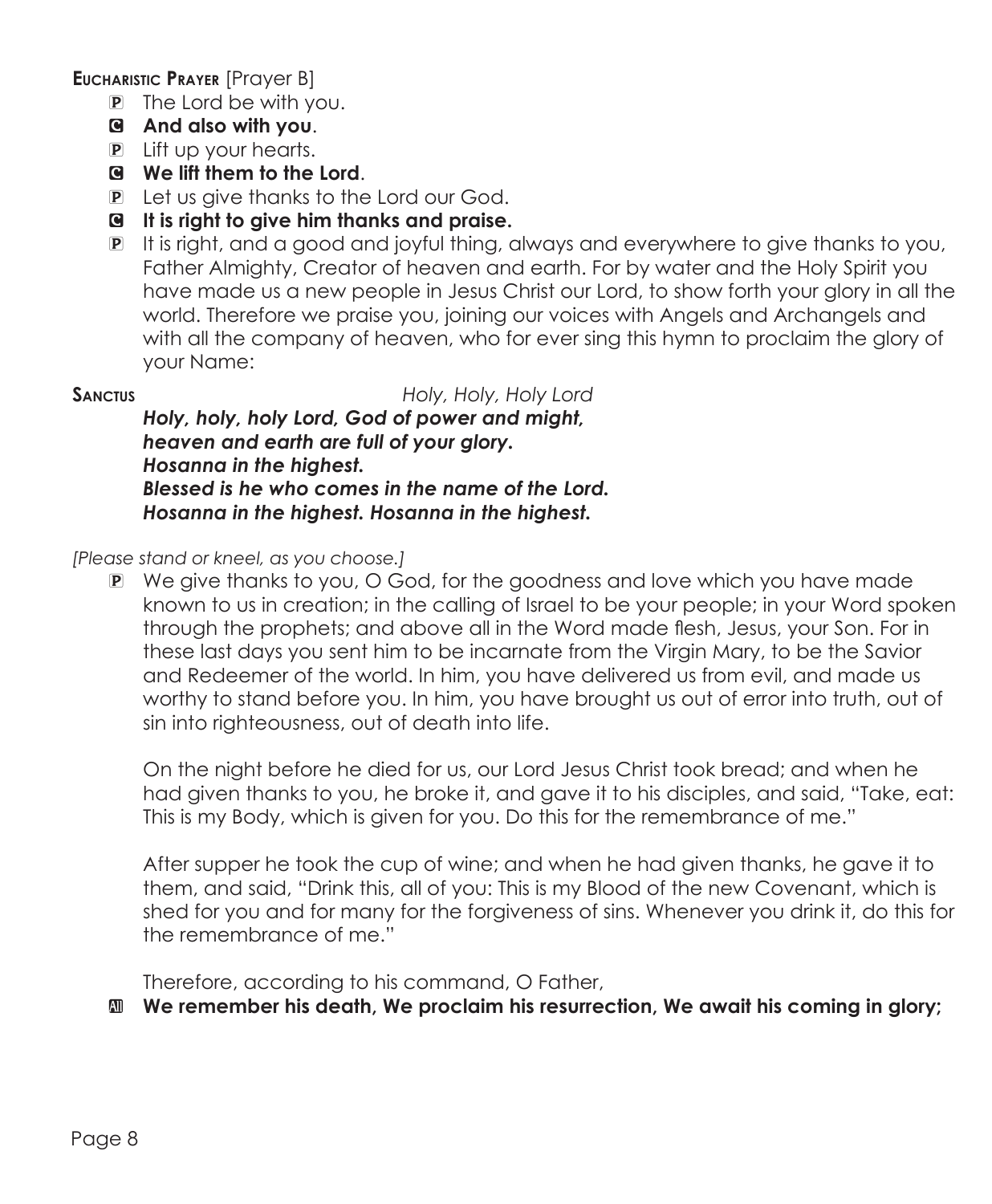**Eucharistic Prayer** [Prayer B]

- P The Lord be with you.
- C **And also with you**.
- P Lift up your hearts.
- C **We lift them to the Lord**.
- P Let us give thanks to the Lord our God.
- C **It is right to give him thanks and praise.**
- P It is right, and a good and joyful thing, always and everywhere to give thanks to you, Father Almighty, Creator of heaven and earth. For by water and the Holy Spirit you have made us a new people in Jesus Christ our Lord, to show forth your glory in all the world. Therefore we praise you, joining our voices with Angels and Archangels and with all the company of heaven, who for ever sing this hymn to proclaim the glory of your Name:

**Sanctus** *Holy, Holy, Holy Lord*

*Holy, holy, holy Lord, God of power and might, heaven and earth are full of your glory. Hosanna in the highest. Blessed is he who comes in the name of the Lord. Hosanna in the highest. Hosanna in the highest.*

*[Please stand or kneel, as you choose.]*

P We give thanks to you, O God, for the goodness and love which you have made known to us in creation; in the calling of Israel to be your people; in your Word spoken through the prophets; and above all in the Word made flesh, Jesus, your Son. For in these last days you sent him to be incarnate from the Virgin Mary, to be the Savior and Redeemer of the world. In him, you have delivered us from evil, and made us worthy to stand before you. In him, you have brought us out of error into truth, out of sin into righteousness, out of death into life.

 On the night before he died for us, our Lord Jesus Christ took bread; and when he had given thanks to you, he broke it, and gave it to his disciples, and said, "Take, eat: This is my Body, which is given for you. Do this for the remembrance of me."

 After supper he took the cup of wine; and when he had given thanks, he gave it to them, and said, "Drink this, all of you: This is my Blood of the new Covenant, which is shed for you and for many for the forgiveness of sins. Whenever you drink it, do this for the remembrance of me."

Therefore, according to his command, O Father,

 $\mathbf{M}$  We remember his death, We proclaim his resurrection, We await his coming in glory;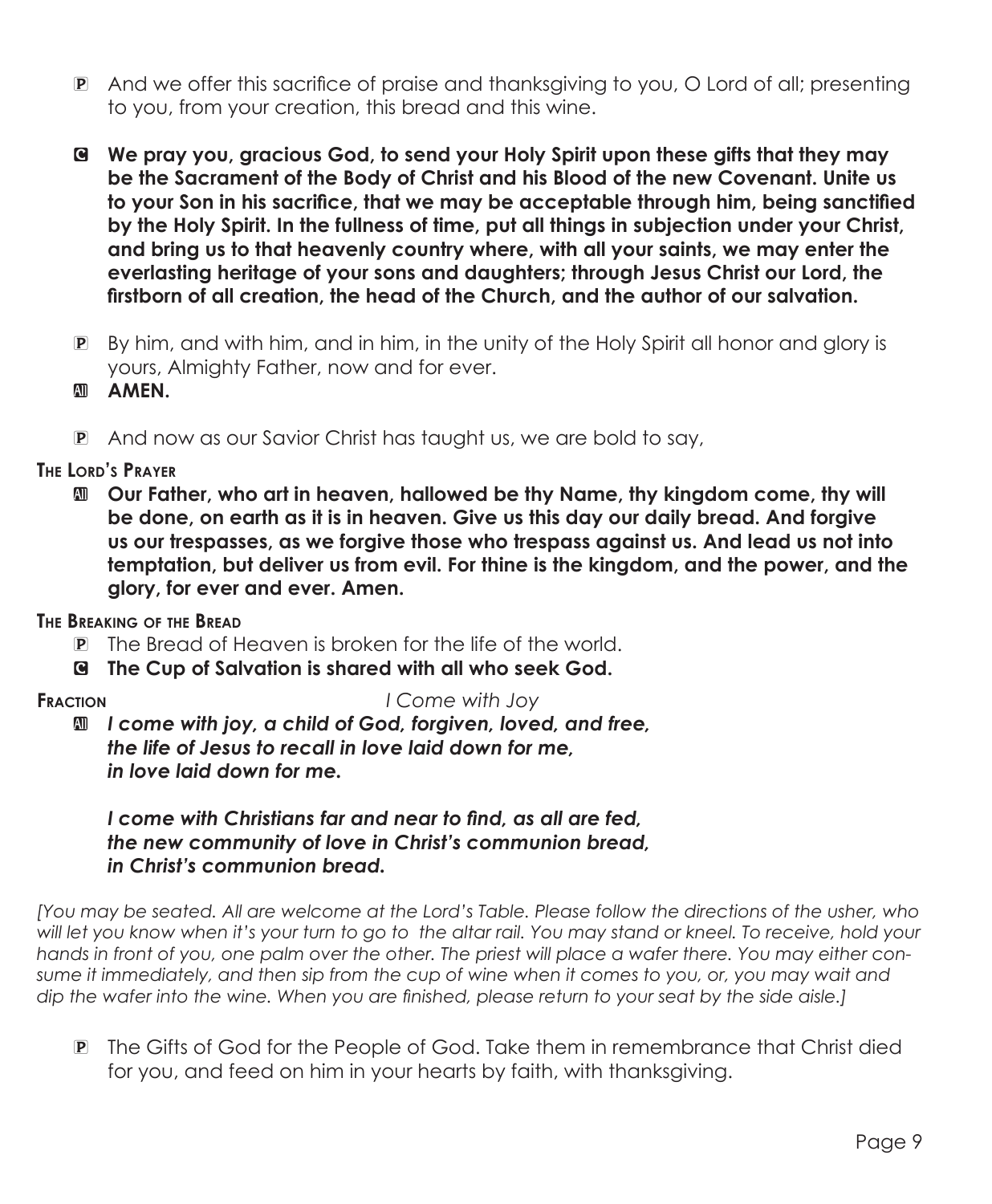- P And we offer this sacrifice of praise and thanksgiving to you, O Lord of all; presenting to you, from your creation, this bread and this wine.
- C **We pray you, gracious God, to send your Holy Spirit upon these gifts that they may be the Sacrament of the Body of Christ and his Blood of the new Covenant. Unite us to your Son in his sacrifice, that we may be acceptable through him, being sanctified by the Holy Spirit. In the fullness of time, put all things in subjection under your Christ, and bring us to that heavenly country where, with all your saints, we may enter the everlasting heritage of your sons and daughters; through Jesus Christ our Lord, the firstborn of all creation, the head of the Church, and the author of our salvation.**
- P By him, and with him, and in him, in the unity of the Holy Spirit all honor and glory is yours, Almighty Father, now and for ever.
- **图 AMEN.**
- P And now as our Savior Christ has taught us, we are bold to say,

#### **The Lord's Prayer**

 $\mathbf{u}$  Our Father, who art in heaven, hallowed be thy Name, thy kingdom come, thy will **be done, on earth as it is in heaven. Give us this day our daily bread. And forgive us our trespasses, as we forgive those who trespass against us. And lead us not into temptation, but deliver us from evil. For thine is the kingdom, and the power, and the glory, for ever and ever. Amen.**

**The Breaking of the Bread**

- P The Bread of Heaven is broken for the life of the world.
- C **The Cup of Salvation is shared with all who seek God.**

## **Fraction** *I Come with Joy*

a *I come with joy, a child of God, forgiven, loved, and free, the life of Jesus to recall in love laid down for me, in love laid down for me.*

#### *I come with Christians far and near to find, as all are fed, the new community of love in Christ's communion bread, in Christ's communion bread.*

*[You may be seated. All are welcome at the Lord's Table. Please follow the directions of the usher, who*  will let you know when it's your turn to go to the altar rail. You may stand or kneel. To receive, hold your *hands in front of you, one palm over the other. The priest will place a wafer there. You may either consume it immediately, and then sip from the cup of wine when it comes to you, or, you may wait and dip the wafer into the wine. When you are finished, please return to your seat by the side aisle.]*

P The Gifts of God for the People of God. Take them in remembrance that Christ died for you, and feed on him in your hearts by faith, with thanksgiving.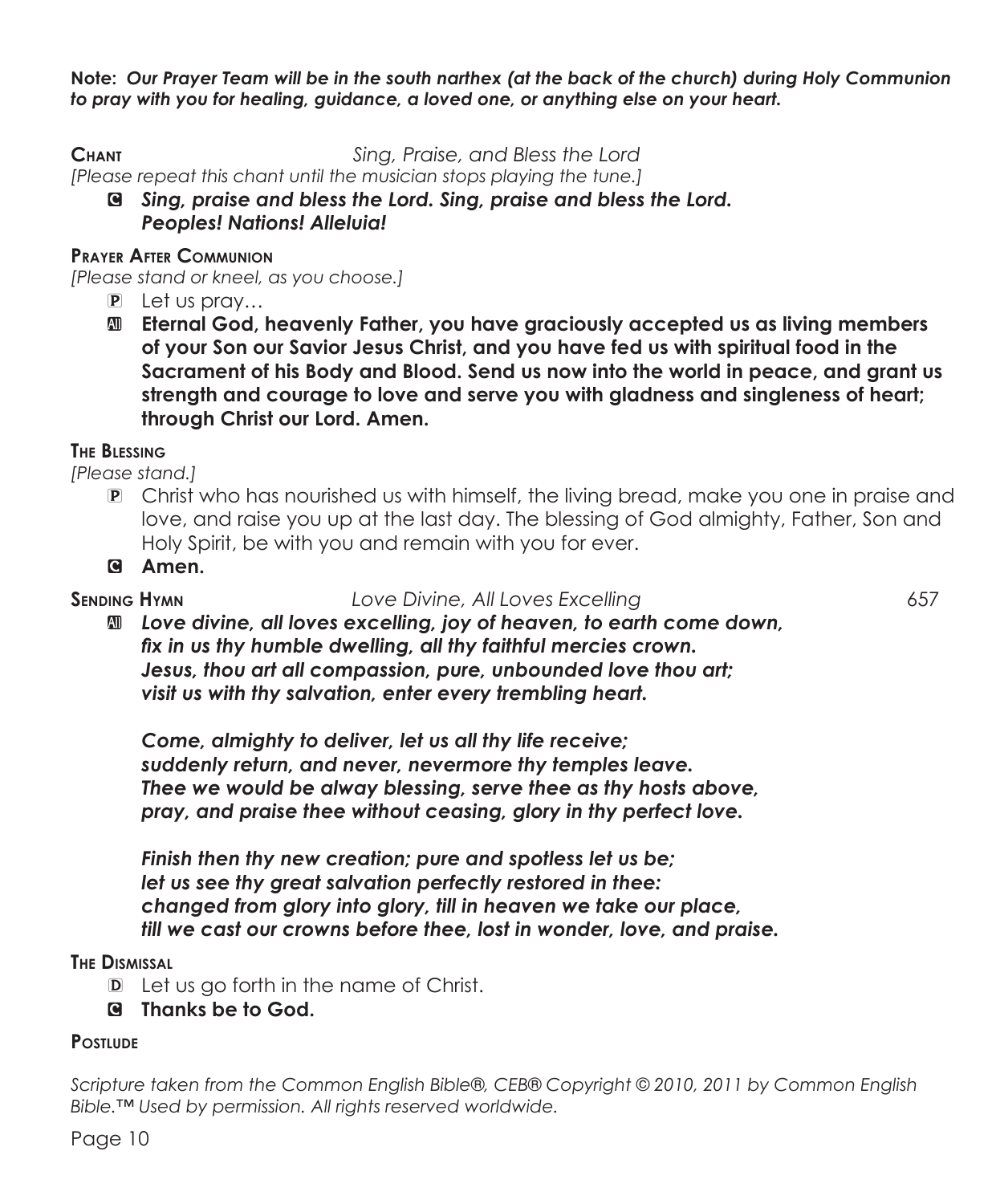**Note:** *Our Prayer Team will be in the south narthex (at the back of the church) during Holy Communion to pray with you for healing, guidance, a loved one, or anything else on your heart.* 

**Chant** *Sing, Praise, and Bless the Lord*

*[Please repeat this chant until the musician stops playing the tune.]*

C *Sing, praise and bless the Lord. Sing, praise and bless the Lord. Peoples! Nations! Alleluia!*

### **Prayer After Communion**

*[Please stand or kneel, as you choose.]*

- P Let us pray…
- a **Eternal God, heavenly Father, you have graciously accepted us as living members of your Son our Savior Jesus Christ, and you have fed us with spiritual food in the Sacrament of his Body and Blood. Send us now into the world in peace, and grant us strength and courage to love and serve you with gladness and singleness of heart; through Christ our Lord. Amen.**

## **The Blessing**

*[Please stand.]*

- P Christ who has nourished us with himself, the living bread, make you one in praise and love, and raise you up at the last day. The blessing of God almighty, Father, Son and Holy Spirit, be with you and remain with you for ever.
- C **Amen.**

## **SENDING HYMN** *Love Divine, All Loves Excelling* **<b>657**

a *Love divine, all loves excelling, joy of heaven, to earth come down, fix in us thy humble dwelling, all thy faithful mercies crown. Jesus, thou art all compassion, pure, unbounded love thou art; visit us with thy salvation, enter every trembling heart.*

*Come, almighty to deliver, let us all thy life receive; suddenly return, and never, nevermore thy temples leave. Thee we would be alway blessing, serve thee as thy hosts above, pray, and praise thee without ceasing, glory in thy perfect love.*

*Finish then thy new creation; pure and spotless let us be; let us see thy great salvation perfectly restored in thee: changed from glory into glory, till in heaven we take our place, till we cast our crowns before thee, lost in wonder, love, and praise.*

#### **The Dismissal**

- D Let us go forth in the name of Christ.
- C **Thanks be to God.**

## **POSTLUDE**

*Scripture taken from the Common English Bible®, CEB® Copyright © 2010, 2011 by Common English Bible.™ Used by permission. All rights reserved worldwide.*